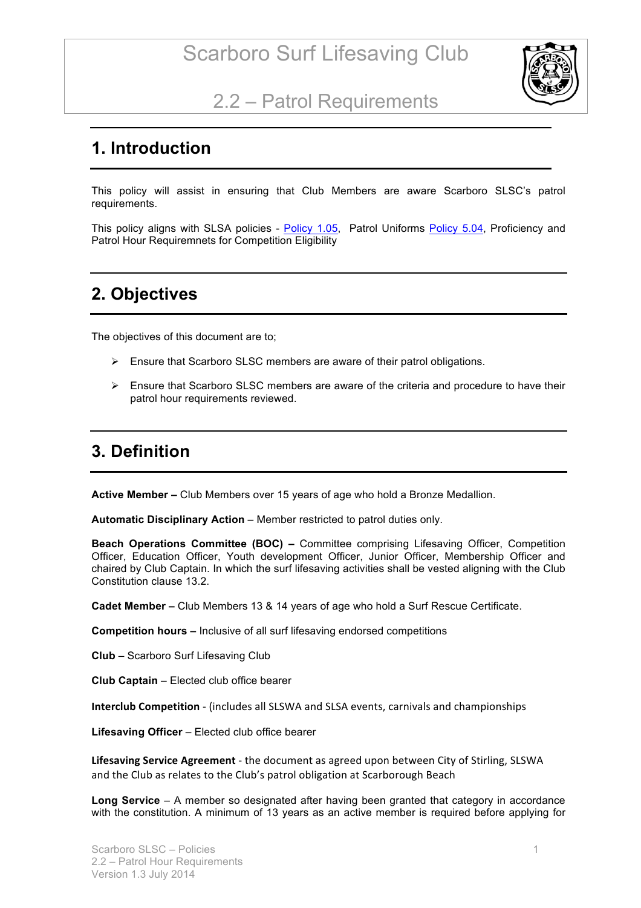

### 2.2 – Patrol Requirements

#### **1. Introduction**

This policy will assist in ensuring that Club Members are aware Scarboro SLSC's patrol requirements.

This policy aligns with SLSA policies - Policy 1.05, Patrol Uniforms Policy 5.04, Proficiency and Patrol Hour Requiremnets for Competition Eligibility

#### **2. Objectives**

The objectives of this document are to;

- $\triangleright$  Ensure that Scarboro SLSC members are aware of their patrol obligations.
- $\triangleright$  Ensure that Scarboro SLSC members are aware of the criteria and procedure to have their patrol hour requirements reviewed.

#### **3. Definition**

**Active Member –** Club Members over 15 years of age who hold a Bronze Medallion.

**Automatic Disciplinary Action** – Member restricted to patrol duties only.

**Beach Operations Committee (BOC) –** Committee comprising Lifesaving Officer, Competition Officer, Education Officer, Youth development Officer, Junior Officer, Membership Officer and chaired by Club Captain. In which the surf lifesaving activities shall be vested aligning with the Club Constitution clause 13.2.

**Cadet Member –** Club Members 13 & 14 years of age who hold a Surf Rescue Certificate.

**Competition hours –** Inclusive of all surf lifesaving endorsed competitions

**Club** – Scarboro Surf Lifesaving Club

**Club Captain** – Elected club office bearer

**Interclub Competition** - (includes all SLSWA and SLSA events, carnivals and championships

**Lifesaving Officer** – Elected club office bearer

Lifesaving Service Agreement - the document as agreed upon between City of Stirling, SLSWA and the Club as relates to the Club's patrol obligation at Scarborough Beach

**Long Service** – A member so designated after having been granted that category in accordance with the constitution. A minimum of 13 years as an active member is required before applying for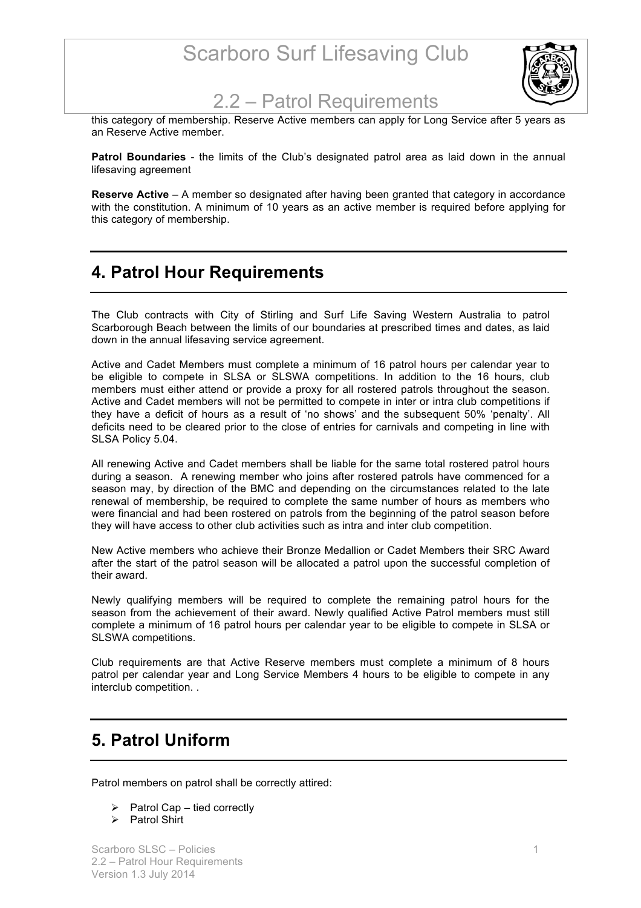# Scarboro Surf Lifesaving Club



#### 2.2 – Patrol Requirements

this category of membership. Reserve Active members can apply for Long Service after 5 years as an Reserve Active member.

**Patrol Boundaries** - the limits of the Club's designated patrol area as laid down in the annual lifesaving agreement

**Reserve Active** – A member so designated after having been granted that category in accordance with the constitution. A minimum of 10 years as an active member is required before applying for this category of membership.

#### **4. Patrol Hour Requirements**

The Club contracts with City of Stirling and Surf Life Saving Western Australia to patrol Scarborough Beach between the limits of our boundaries at prescribed times and dates, as laid down in the annual lifesaving service agreement.

Active and Cadet Members must complete a minimum of 16 patrol hours per calendar year to be eligible to compete in SLSA or SLSWA competitions. In addition to the 16 hours, club members must either attend or provide a proxy for all rostered patrols throughout the season. Active and Cadet members will not be permitted to compete in inter or intra club competitions if they have a deficit of hours as a result of 'no shows' and the subsequent 50% 'penalty'. All deficits need to be cleared prior to the close of entries for carnivals and competing in line with SLSA Policy 5.04.

All renewing Active and Cadet members shall be liable for the same total rostered patrol hours during a season. A renewing member who joins after rostered patrols have commenced for a season may, by direction of the BMC and depending on the circumstances related to the late renewal of membership, be required to complete the same number of hours as members who were financial and had been rostered on patrols from the beginning of the patrol season before they will have access to other club activities such as intra and inter club competition.

New Active members who achieve their Bronze Medallion or Cadet Members their SRC Award after the start of the patrol season will be allocated a patrol upon the successful completion of their award.

Newly qualifying members will be required to complete the remaining patrol hours for the season from the achievement of their award. Newly qualified Active Patrol members must still complete a minimum of 16 patrol hours per calendar year to be eligible to compete in SLSA or SLSWA competitions.

Club requirements are that Active Reserve members must complete a minimum of 8 hours patrol per calendar year and Long Service Members 4 hours to be eligible to compete in any interclub competition. .

#### **5. Patrol Uniform**

Patrol members on patrol shall be correctly attired:

- $\triangleright$  Patrol Cap tied correctly
- $\triangleright$  Patrol Shirt

Scarboro SLSC – Policies 1 2.2 – Patrol Hour Requirements Version 1.3 July 2014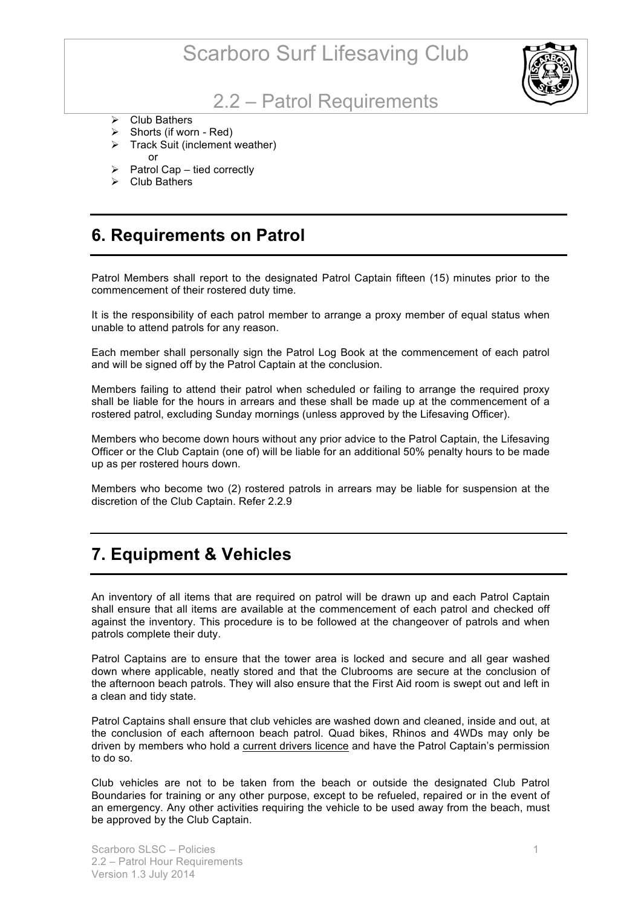# Scarboro Surf Lifesaving Club



#### 2.2 – Patrol Requirements

- $\triangleright$  Club Bathers
- $\triangleright$  Shorts (if worn Red)
- $\triangleright$  Track Suit (inclement weather) or
- $\triangleright$  Patrol Cap tied correctly
- $\triangleright$  Club Bathers

#### **6. Requirements on Patrol**

Patrol Members shall report to the designated Patrol Captain fifteen (15) minutes prior to the commencement of their rostered duty time.

It is the responsibility of each patrol member to arrange a proxy member of equal status when unable to attend patrols for any reason.

Each member shall personally sign the Patrol Log Book at the commencement of each patrol and will be signed off by the Patrol Captain at the conclusion.

Members failing to attend their patrol when scheduled or failing to arrange the required proxy shall be liable for the hours in arrears and these shall be made up at the commencement of a rostered patrol, excluding Sunday mornings (unless approved by the Lifesaving Officer).

Members who become down hours without any prior advice to the Patrol Captain, the Lifesaving Officer or the Club Captain (one of) will be liable for an additional 50% penalty hours to be made up as per rostered hours down.

Members who become two (2) rostered patrols in arrears may be liable for suspension at the discretion of the Club Captain. Refer 2.2.9

#### **7. Equipment & Vehicles**

An inventory of all items that are required on patrol will be drawn up and each Patrol Captain shall ensure that all items are available at the commencement of each patrol and checked off against the inventory. This procedure is to be followed at the changeover of patrols and when patrols complete their duty.

Patrol Captains are to ensure that the tower area is locked and secure and all gear washed down where applicable, neatly stored and that the Clubrooms are secure at the conclusion of the afternoon beach patrols. They will also ensure that the First Aid room is swept out and left in a clean and tidy state.

Patrol Captains shall ensure that club vehicles are washed down and cleaned, inside and out, at the conclusion of each afternoon beach patrol. Quad bikes, Rhinos and 4WDs may only be driven by members who hold a current drivers licence and have the Patrol Captain's permission to do so.

Club vehicles are not to be taken from the beach or outside the designated Club Patrol Boundaries for training or any other purpose, except to be refueled, repaired or in the event of an emergency. Any other activities requiring the vehicle to be used away from the beach, must be approved by the Club Captain.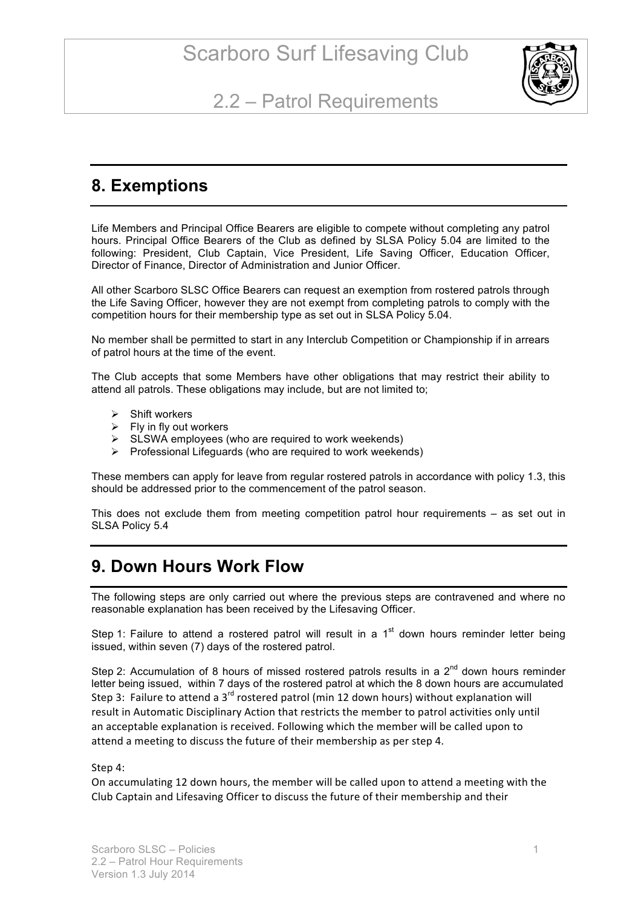

## 2.2 – Patrol Requirements

#### **8. Exemptions**

Life Members and Principal Office Bearers are eligible to compete without completing any patrol hours. Principal Office Bearers of the Club as defined by SLSA Policy 5.04 are limited to the following: President, Club Captain, Vice President, Life Saving Officer, Education Officer, Director of Finance, Director of Administration and Junior Officer.

All other Scarboro SLSC Office Bearers can request an exemption from rostered patrols through the Life Saving Officer, however they are not exempt from completing patrols to comply with the competition hours for their membership type as set out in SLSA Policy 5.04.

No member shall be permitted to start in any Interclub Competition or Championship if in arrears of patrol hours at the time of the event.

The Club accepts that some Members have other obligations that may restrict their ability to attend all patrols. These obligations may include, but are not limited to;

- $\triangleright$  Shift workers
- $\triangleright$  Fly in fly out workers
- $\triangleright$  SLSWA employees (who are required to work weekends)
- $\triangleright$  Professional Lifeguards (who are required to work weekends)

These members can apply for leave from regular rostered patrols in accordance with policy 1.3, this should be addressed prior to the commencement of the patrol season.

This does not exclude them from meeting competition patrol hour requirements – as set out in SLSA Policy 5.4

#### **9. Down Hours Work Flow**

The following steps are only carried out where the previous steps are contravened and where no reasonable explanation has been received by the Lifesaving Officer.

Step 1: Failure to attend a rostered patrol will result in a  $1<sup>st</sup>$  down hours reminder letter being issued, within seven (7) days of the rostered patrol.

Step 2: Accumulation of 8 hours of missed rostered patrols results in a  $2^{nd}$  down hours reminder letter being issued, within 7 days of the rostered patrol at which the 8 down hours are accumulated Step 3: Failure to attend a 3<sup>rd</sup> rostered patrol (min 12 down hours) without explanation will result in Automatic Disciplinary Action that restricts the member to patrol activities only until an acceptable explanation is received. Following which the member will be called upon to attend a meeting to discuss the future of their membership as per step 4.

#### Step 4:

On accumulating 12 down hours, the member will be called upon to attend a meeting with the Club Captain and Lifesaving Officer to discuss the future of their membership and their